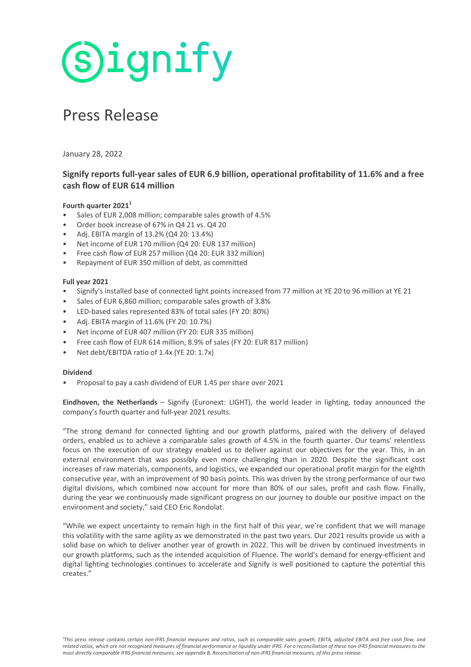**Signify** 

# Press Release

January 28, 2022

## Signify reports full-year sales of EUR 6.9 billion, operational profitability of 11.6% and a free **cash flow of EUR 614 million**

### **Fourth quarter 2021**<sup>1</sup>

- Sales of EUR 2,008 million; comparable sales growth of 4.5%
- Order book increase of 67% in Q4 21 vs. Q4 20
- Adj. EBITA margin of 13.2% (Q4 20: 13.4%)
- Net income of EUR 170 million (Q4 20: EUR 137 million)
- Free cash flow of EUR 257 million (Q4 20: EUR 332 million)
- Repayment of EUR 350 million of debt, as committed

### **Full year 2021**

- Signify's installed base of connected light points increased from 77 million at YE 20 to 96 million at YE 21
- Sales of EUR 6,860 million; comparable sales growth of 3.8%
- LED-based sales represented 83% of total sales (FY 20: 80%)
- Adj. EBITA margin of 11.6% (FY 20: 10.7%)
- Net income of EUR 407 million (FY 20: EUR 335 million)
- Free cash flow of EUR 614 million, 8.9% of sales (FY 20: EUR 817 million)
- Net debt/EBITDA ratio of 1.4x (YE 20: 1.7x)

### **Dividend**

• Proposal to pay a cash dividend of EUR 1.45 per share over 2021

**Eindhoven, the Netherlands** – Signify (Euronext: LIGHT), the world leader in lighting, today announced the company's fourth quarter and full-year 2021 results.

"The strong demand for connected lighting and our growth platforms, paired with the delivery of delayed orders, enabled us to achieve a comparable sales growth of 4.5% in the fourth quarter. Our teams' relentless focus on the execution of our strategy enabled us to deliver against our objectives for the year. This, in an external environment that was possibly even more challenging than in 2020. Despite the significant cost increases of raw materials, components, and logistics, we expanded our operational profit margin for the eighth consecutive year, with an improvement of 90 basis points. This was driven by the strong performance of our two digital divisions, which combined now account for more than 80% of our sales, profit and cash flow. Finally, during the year we continuously made significant progress on our journey to double our positive impact on the environment and society," said CEO Eric Rondolat.

"While we expect uncertainty to remain high in the first half of this year, we're confident that we will manage this volatility with the same agility as we demonstrated in the past two years. Our 2021 results provide us with a solid base on which to deliver another year of growth in 2022. This will be driven by continued investments in our growth platforms, such as the intended acquisition of Fluence. The world's demand for energy-efficient and digital lighting technologies continues to accelerate and Signify is well positioned to capture the potential this creates."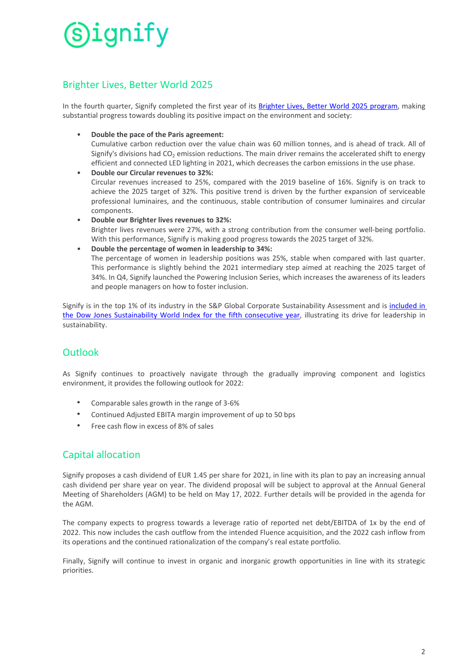

# **Brighter Lives, Better World 2025**

In the fourth quarter, Signify completed the first year of its Brighter Lives, Better World 2025 program, making substantial progress towards doubling its positive impact on the environment and society:

• Double the pace of the Paris agreement:

Cumulative carbon reduction over the value chain was 60 million tonnes, and is ahead of track. All of Signify's divisions had CO<sub>2</sub> emission reductions. The main driver remains the accelerated shift to energy efficient and connected LED lighting in 2021, which decreases the carbon emissions in the use phase.

- **Double our Circular revenues to 32%:** Circular revenues increased to 25%, compared with the 2019 baseline of 16%. Signify is on track to achieve the 2025 target of 32%. This positive trend is driven by the further expansion of serviceable professional luminaires, and the continuous, stable contribution of consumer luminaires and circular components.
- **Double our Brighter lives revenues to 32%:** Brighter lives revenues were 27%, with a strong contribution from the consumer well-being portfolio. With this performance, Signify is making good progress towards the 2025 target of 32%.
- **Double the percentage of women in leadership to 34%:** The percentage of women in leadership positions was 25%, stable when compared with last quarter. This performance is slightly behind the 2021 intermediary step aimed at reaching the 2025 target of 34%. In Q4, Signify launched the Powering Inclusion Series, which increases the awareness of its leaders and people managers on how to foster inclusion.

Signify is in the top 1% of its industry in the S&P Global Corporate Sustainability Assessment and is included in the Dow Jones Sustainability World Index for the fifth consecutive year, illustrating its drive for leadership in sustainability.

# **Outlook**

As Signify continues to proactively navigate through the gradually improving component and logistics environment, it provides the following outlook for 2022:

- Comparable sales growth in the range of 3-6%
- Continued Adjusted EBITA margin improvement of up to 50 bps
- Free cash flow in excess of 8% of sales

# Capital allocation

Signify proposes a cash dividend of EUR 1.45 per share for 2021, in line with its plan to pay an increasing annual cash dividend per share year on year. The dividend proposal will be subject to approval at the Annual General Meeting of Shareholders (AGM) to be held on May 17, 2022. Further details will be provided in the agenda for the AGM.

The company expects to progress towards a leverage ratio of reported net debt/EBITDA of 1x by the end of 2022. This now includes the cash outflow from the intended Fluence acquisition, and the 2022 cash inflow from its operations and the continued rationalization of the company's real estate portfolio.

Finally, Signify will continue to invest in organic and inorganic growth opportunities in line with its strategic priorities.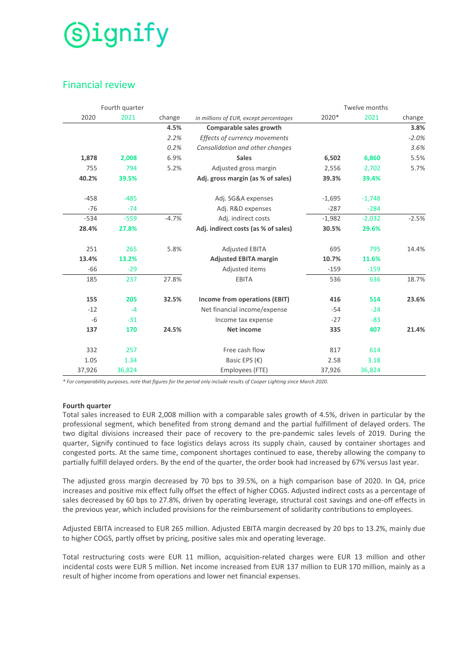# Financial review

|        | Fourth quarter |         |                                        | Twelve months |          |         |
|--------|----------------|---------|----------------------------------------|---------------|----------|---------|
| 2020   | 2021           | change  | in millions of EUR, except percentages | 2020*         | 2021     | change  |
|        |                | 4.5%    | Comparable sales growth                |               |          | 3.8%    |
|        |                | 2.2%    | Effects of currency movements          |               |          | $-2.0%$ |
|        |                | 0.2%    | Consolidation and other changes        |               |          | 3.6%    |
| 1,878  | 2,008          | 6.9%    | <b>Sales</b>                           | 6,502         | 6,860    | 5.5%    |
| 755    | 794            | 5.2%    | Adjusted gross margin                  | 2,556         | 2,702    | 5.7%    |
| 40.2%  | 39.5%          |         | Adj. gross margin (as % of sales)      | 39.3%         | 39.4%    |         |
| $-458$ | $-485$         |         | Adj. SG&A expenses                     | $-1,695$      | $-1,748$ |         |
| $-76$  | $-74$          |         | Adj. R&D expenses                      | $-287$        | $-284$   |         |
| $-534$ | $-559$         | $-4.7%$ | Adj. indirect costs                    | $-1,982$      | $-2,032$ | $-2.5%$ |
| 28.4%  | 27.8%          |         | Adj. indirect costs (as % of sales)    | 30.5%         | 29.6%    |         |
| 251    | 265            | 5.8%    | <b>Adjusted EBITA</b>                  | 695           | 795      | 14.4%   |
| 13.4%  | 13.2%          |         | <b>Adjusted EBITA margin</b>           | 10.7%         | 11.6%    |         |
| $-66$  | $-29$          |         | Adjusted items                         | $-159$        | $-159$   |         |
| 185    | 237            | 27.8%   | <b>EBITA</b>                           | 536           | 636      | 18.7%   |
| 155    | 205            | 32.5%   | Income from operations (EBIT)          | 416           | 514      | 23.6%   |
| $-12$  | $-4$           |         | Net financial income/expense           | $-54$         | $-24$    |         |
| $-6$   | $-31$          |         | Income tax expense                     | $-27$         | $-83$    |         |
| 137    | 170            | 24.5%   | <b>Net income</b>                      | 335           | 407      | 21.4%   |
| 332    | 257            |         | Free cash flow                         | 817           | 614      |         |
| 1.05   | 1.34           |         | Basic EPS $(E)$                        | 2.58          | 3.18     |         |
| 37,926 | 36,824         |         | Employees (FTE)                        | 37,926        | 36,824   |         |

*\* For comparability purposes, note that figures for the period only include results of Cooper Lighting since March 2020.*

### **Fourth quarter**

Total sales increased to EUR 2,008 million with a comparable sales growth of 4.5%, driven in particular by the professional segment, which benefited from strong demand and the partial fulfillment of delayed orders. The two digital divisions increased their pace of recovery to the pre-pandemic sales levels of 2019. During the quarter, Signify continued to face logistics delays across its supply chain, caused by container shortages and congested ports. At the same time, component shortages continued to ease, thereby allowing the company to partially fulfill delayed orders. By the end of the quarter, the order book had increased by 67% versus last year.

The adjusted gross margin decreased by 70 bps to 39.5%, on a high comparison base of 2020. In Q4, price increases and positive mix effect fully offset the effect of higher COGS. Adjusted indirect costs as a percentage of sales decreased by 60 bps to 27.8%, driven by operating leverage, structural cost savings and one-off effects in the previous year, which included provisions for the reimbursement of solidarity contributions to employees.

Adjusted EBITA increased to EUR 265 million. Adjusted EBITA margin decreased by 20 bps to 13.2%, mainly due to higher COGS, partly offset by pricing, positive sales mix and operating leverage.

Total restructuring costs were EUR 11 million, acquisition-related charges were EUR 13 million and other incidental costs were EUR 5 million. Net income increased from EUR 137 million to EUR 170 million, mainly as a result of higher income from operations and lower net financial expenses.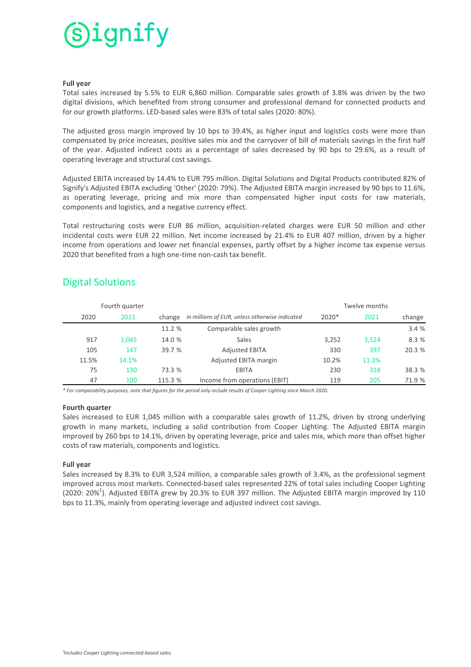

### **Full** vear

Total sales increased by 5.5% to EUR 6,860 million. Comparable sales growth of 3.8% was driven by the two digital divisions, which benefited from strong consumer and professional demand for connected products and for our growth platforms. LED-based sales were 83% of total sales (2020: 80%).

The adjusted gross margin improved by 10 bps to 39.4%, as higher input and logistics costs were more than compensated by price increases, positive sales mix and the carryover of bill of materials savings in the first half of the year. Adjusted indirect costs as a percentage of sales decreased by 90 bps to 29.6%, as a result of operating leverage and structural cost savings.

Adjusted EBITA increased by 14.4% to EUR 795 million. Digital Solutions and Digital Products contributed 82% of Signify's Adjusted EBITA excluding 'Other' (2020: 79%). The Adjusted EBITA margin increased by 90 bps to 11.6%, as operating leverage, pricing and mix more than compensated higher input costs for raw materials, components and logistics, and a negative currency effect.

Total restructuring costs were EUR 86 million, acquisition-related charges were EUR 50 million and other incidental costs were EUR 22 million. Net income increased by 21.4% to EUR 407 million, driven by a higher income from operations and lower net financial expenses, partly offset by a higher income tax expense versus 2020 that benefited from a high one-time non-cash tax benefit.

# Digital Solutions

|       | Fourth quarter |         |                                                |         | Twelve months |        |
|-------|----------------|---------|------------------------------------------------|---------|---------------|--------|
| 2020  | 2021           | change  | in millions of EUR, unless otherwise indicated | $2020*$ | 2021          | change |
|       |                | 11.2 %  | Comparable sales growth                        |         |               | 3.4%   |
| 917   | 1.045          | 14.0 %  | Sales                                          | 3,252   | 3,524         | 8.3 %  |
| 105   | 147            | 39.7 %  | <b>Adjusted EBITA</b>                          | 330     | 397           | 20.3 % |
| 11.5% | 14.1%          |         | Adjusted EBITA margin                          | 10.2%   | 11.3%         |        |
| 75    | 130            | 73.3 %  | <b>EBITA</b>                                   | 230     | 318           | 38.3 % |
| 47    | 100            | 115.3 % | Income from operations (EBIT)                  | 119     | 205           | 71.9 % |

*\* For comparability purposes, note that figures for the period only include results of Cooper Lighting since March 2020.*

### **Fourth quarter**

Sales increased to EUR 1,045 million with a comparable sales growth of 11.2%, driven by strong underlying growth in many markets, including a solid contribution from Cooper Lighting. The Adjusted EBITA margin improved by 260 bps to 14.1%, driven by operating leverage, price and sales mix, which more than offset higher costs of raw materials, components and logistics.

### **Full** year

Sales increased by 8.3% to EUR 3,524 million, a comparable sales growth of 3.4%, as the professional segment improved across most markets. Connected-based sales represented 22% of total sales including Cooper Lighting (2020: 20%<sup>1</sup>). Adjusted EBITA grew by 20.3% to EUR 397 million. The Adjusted EBITA margin improved by 110 bps to 11.3%, mainly from operating leverage and adjusted indirect cost savings.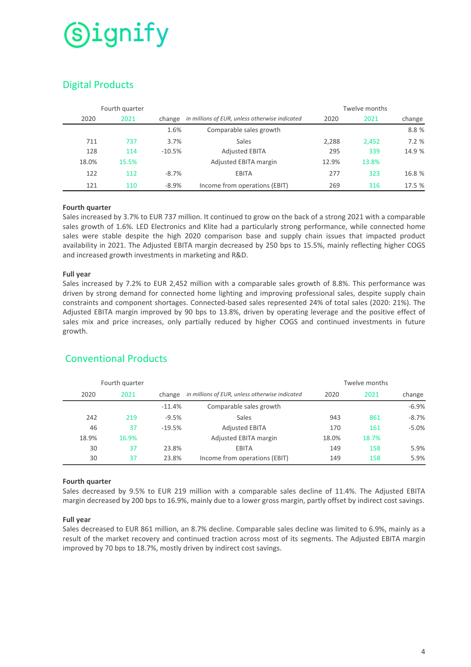# Digital Products

|       | Fourth quarter |          |                                                |       | Twelve months |        |
|-------|----------------|----------|------------------------------------------------|-------|---------------|--------|
| 2020  | 2021           | change   | in millions of EUR, unless otherwise indicated | 2020  | 2021          | change |
|       |                | 1.6%     | Comparable sales growth                        |       |               | 8.8%   |
| 711   | 737            | 3.7%     | Sales                                          | 2.288 | 2,452         | 7.2%   |
| 128   | 114            | $-10.5%$ | <b>Adjusted EBITA</b>                          | 295   | 339           | 14.9 % |
| 18.0% | 15.5%          |          | Adjusted EBITA margin                          | 12.9% | 13.8%         |        |
| 122   | 112            | $-8.7\%$ | <b>EBITA</b>                                   | 277   | 323           | 16.8 % |
| 121   | 110            | $-8.9%$  | Income from operations (EBIT)                  | 269   | 316           | 17.5 % |

### **Fourth quarter**

Sales increased by 3.7% to EUR 737 million. It continued to grow on the back of a strong 2021 with a comparable sales growth of 1.6%. LED Electronics and Klite had a particularly strong performance, while connected home sales were stable despite the high 2020 comparison base and supply chain issues that impacted product availability in 2021. The Adjusted EBITA margin decreased by 250 bps to 15.5%, mainly reflecting higher COGS and increased growth investments in marketing and R&D.

### **Full year**

Sales increased by 7.2% to EUR 2,452 million with a comparable sales growth of 8.8%. This performance was driven by strong demand for connected home lighting and improving professional sales, despite supply chain constraints and component shortages. Connected-based sales represented 24% of total sales (2020: 21%). The Adjusted EBITA margin improved by 90 bps to 13.8%, driven by operating leverage and the positive effect of sales mix and price increases, only partially reduced by higher COGS and continued investments in future growth. 

# **Conventional Products**

| change  |
|---------|
| $-6.9%$ |
| $-8.7%$ |
| $-5.0%$ |
|         |
| 5.9%    |
| 5.9%    |
|         |

### **Fourth quarter**

Sales decreased by 9.5% to EUR 219 million with a comparable sales decline of 11.4%. The Adjusted EBITA margin decreased by 200 bps to 16.9%, mainly due to a lower gross margin, partly offset by indirect cost savings.

### **Full year**

Sales decreased to EUR 861 million, an 8.7% decline. Comparable sales decline was limited to 6.9%, mainly as a result of the market recovery and continued traction across most of its segments. The Adjusted EBITA margin improved by 70 bps to 18.7%, mostly driven by indirect cost savings.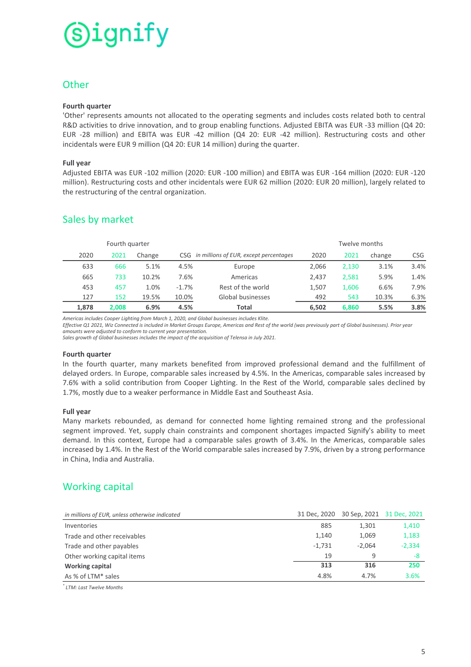## **Other**

### **Fourth quarter**

'Other' represents amounts not allocated to the operating segments and includes costs related both to central R&D activities to drive innovation, and to group enabling functions. Adjusted EBITA was EUR -33 million (Q4 20: EUR -28 million) and EBITA was EUR -42 million (Q4 20: EUR -42 million). Restructuring costs and other incidentals were EUR 9 million ( $Q4$  20: EUR 14 million) during the quarter.

### **Full year**

Sales by market

Adjusted EBITA was EUR -102 million (2020: EUR -100 million) and EBITA was EUR -164 million (2020: EUR -120 million). Restructuring costs and other incidentals were EUR 62 million (2020: EUR 20 million), largely related to the restructuring of the central organization.

|       | Fourth quarter |        |         |                                            |       | Twelve months |        |            |
|-------|----------------|--------|---------|--------------------------------------------|-------|---------------|--------|------------|
| 2020  | 2021           | Change |         | CSG in millions of EUR, except percentages | 2020  | 2021          | change | <b>CSG</b> |
| 633   | 666            | 5.1%   | 4.5%    | Europe                                     | 2.066 | 2,130         | 3.1%   | 3.4%       |
| 665   | 733            | 10.2%  | 7.6%    | Americas                                   | 2.437 | 2,581         | 5.9%   | 1.4%       |
| 453   | 457            | 1.0%   | $-1.7%$ | Rest of the world                          | 1,507 | 1,606         | 6.6%   | 7.9%       |
| 127   | 152            | 19.5%  | 10.0%   | Global businesses                          | 492   | 543           | 10.3%  | 6.3%       |
| 1,878 | 2,008          | 6.9%   | 4.5%    | Total                                      | 6.502 | 6,860         | 5.5%   | 3.8%       |

Americas includes Cooper Lighting from March 1, 2020, and Global businesses includes Klite.

Effective Q1 2021, Wiz Connected is included in Market Groups Europe, Americas and Rest of the world (was previously part of Global businesses). Prior year *amounts* were adjusted to conform to current year presentation.

Sales growth of Global businesses includes the impact of the acquisition of Telensa in July 2021.

### **Fourth quarter**

In the fourth quarter, many markets benefited from improved professional demand and the fulfillment of delayed orders. In Europe, comparable sales increased by 4.5%. In the Americas, comparable sales increased by 7.6% with a solid contribution from Cooper Lighting. In the Rest of the World, comparable sales declined by 1.7%, mostly due to a weaker performance in Middle East and Southeast Asia.

### **Full** year

Many markets rebounded, as demand for connected home lighting remained strong and the professional segment improved. Yet, supply chain constraints and component shortages impacted Signify's ability to meet demand. In this context, Europe had a comparable sales growth of 3.4%. In the Americas, comparable sales increased by 1.4%. In the Rest of the World comparable sales increased by 7.9%, driven by a strong performance in China, India and Australia.

## Working capital

| in millions of EUR, unless otherwise indicated |          | 31 Dec, 2020 30 Sep, 2021 31 Dec, 2021 |          |
|------------------------------------------------|----------|----------------------------------------|----------|
| Inventories                                    | 885      | 1,301                                  | 1,410    |
| Trade and other receivables                    | 1,140    | 1,069                                  | 1,183    |
| Trade and other payables                       | $-1.731$ | $-2.064$                               | $-2,334$ |
| Other working capital items                    | 19       | 9                                      | -8       |
| <b>Working capital</b>                         | 313      | 316                                    | 250      |
| As % of LTM* sales                             | 4.8%     | 4.7%                                   | 3.6%     |

*\* LTM: Last Twelve Months*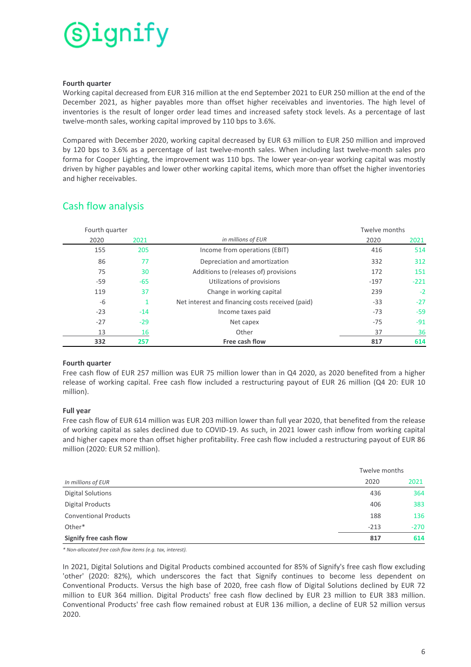

### **Fourth quarter**

Working capital decreased from EUR 316 million at the end September 2021 to EUR 250 million at the end of the December 2021, as higher payables more than offset higher receivables and inventories. The high level of inventories is the result of longer order lead times and increased safety stock levels. As a percentage of last twelve-month sales, working capital improved by 110 bps to 3.6%.

Compared with December 2020, working capital decreased by EUR 63 million to EUR 250 million and improved by 120 bps to 3.6% as a percentage of last twelve-month sales. When including last twelve-month sales pro forma for Cooper Lighting, the improvement was 110 bps. The lower year-on-year working capital was mostly driven by higher payables and lower other working capital items, which more than offset the higher inventories and higher receivables.

| Fourth quarter |       |                                                  | Twelve months |        |
|----------------|-------|--------------------------------------------------|---------------|--------|
| 2020           | 2021  | in millions of EUR                               | 2020          | 2021   |
| 155            | 205   | Income from operations (EBIT)                    | 416           | 514    |
| 86             | 77    | Depreciation and amortization                    | 332           | 312    |
| 75             | 30    | Additions to (releases of) provisions            | 172           | 151    |
| -59            | $-65$ | Utilizations of provisions                       | $-197$        | $-221$ |
| 119            | 37    | Change in working capital                        | 239           | $-2$   |
| -6             | 1     | Net interest and financing costs received (paid) | $-33$         | $-27$  |
| $-23$          | $-14$ | Income taxes paid                                | $-73$         | $-59$  |
| $-27$          | $-29$ | Net capex                                        | $-75$         | $-91$  |
| 13             | 16    | Other                                            | 37            | 36     |
| 332            | 257   | Free cash flow                                   | 817           | 614    |

## Cash flow analysis

### **Fourth quarter**

Free cash flow of EUR 257 million was EUR 75 million lower than in Q4 2020, as 2020 benefited from a higher release of working capital. Free cash flow included a restructuring payout of EUR 26 million (Q4 20: EUR 10 million).

### **Full year**

Free cash flow of EUR 614 million was EUR 203 million lower than full year 2020, that benefited from the release of working capital as sales declined due to COVID-19. As such, in 2021 lower cash inflow from working capital and higher capex more than offset higher profitability. Free cash flow included a restructuring payout of EUR 86 million (2020: EUR 52 million).

|                              | Twelve months |        |
|------------------------------|---------------|--------|
| In millions of EUR           | 2020          | 2021   |
| <b>Digital Solutions</b>     | 436           | 364    |
| <b>Digital Products</b>      | 406           | 383    |
| <b>Conventional Products</b> | 188           | 136    |
| Other*                       | $-213$        | $-270$ |
| Signify free cash flow       | 817           | 614    |

*\* Non-allocated free cash flow items (e.g. tax, interest).*

In 2021, Digital Solutions and Digital Products combined accounted for 85% of Signify's free cash flow excluding 'other' (2020: 82%), which underscores the fact that Signify continues to become less dependent on Conventional Products. Versus the high base of 2020, free cash flow of Digital Solutions declined by EUR 72 million to EUR 364 million. Digital Products' free cash flow declined by EUR 23 million to EUR 383 million. Conventional Products' free cash flow remained robust at EUR 136 million, a decline of EUR 52 million versus 2020.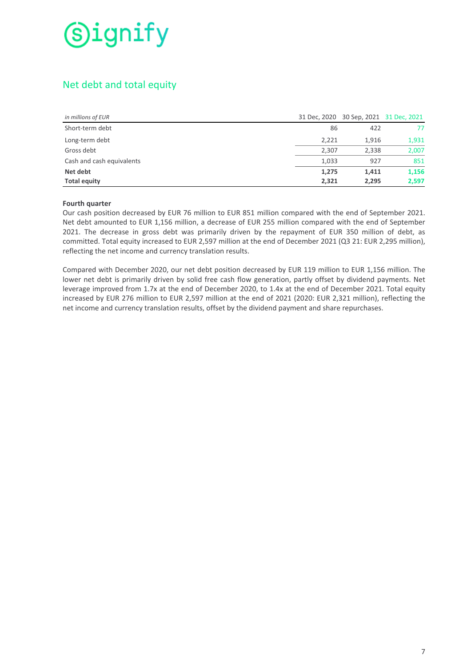

# Net debt and total equity

| in millions of EUR        |       | 31 Dec, 2020 30 Sep, 2021 31 Dec, 2021 |       |
|---------------------------|-------|----------------------------------------|-------|
| Short-term debt           | 86    | 422                                    | 77    |
| Long-term debt            | 2,221 | 1.916                                  | 1,931 |
| Gross debt                | 2,307 | 2,338                                  | 2,007 |
| Cash and cash equivalents | 1,033 | 927                                    | 851   |
| Net debt                  | 1,275 | 1,411                                  | 1,156 |
| <b>Total equity</b>       | 2,321 | 2,295                                  | 2,597 |

### **Fourth quarter**

Our cash position decreased by EUR 76 million to EUR 851 million compared with the end of September 2021. Net debt amounted to EUR 1,156 million, a decrease of EUR 255 million compared with the end of September 2021. The decrease in gross debt was primarily driven by the repayment of EUR 350 million of debt, as committed. Total equity increased to EUR 2,597 million at the end of December 2021 (Q3 21: EUR 2,295 million), reflecting the net income and currency translation results.

Compared with December 2020, our net debt position decreased by EUR 119 million to EUR 1,156 million. The lower net debt is primarily driven by solid free cash flow generation, partly offset by dividend payments. Net leverage improved from 1.7x at the end of December 2020, to 1.4x at the end of December 2021. Total equity increased by EUR 276 million to EUR 2,597 million at the end of 2021 (2020: EUR 2,321 million), reflecting the net income and currency translation results, offset by the dividend payment and share repurchases.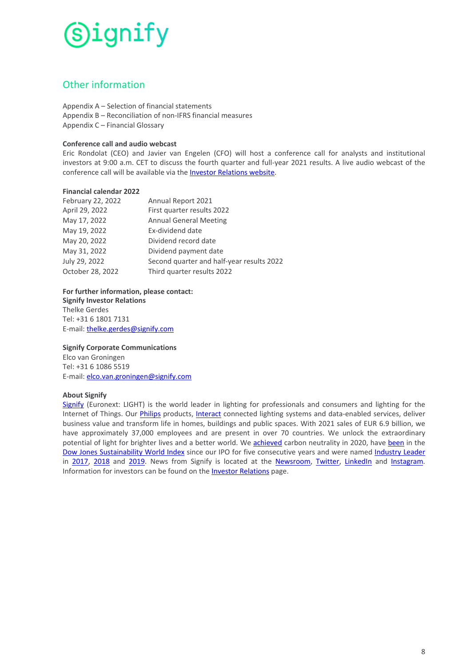

# Other information

Appendix  $A -$  Selection of financial statements Appendix B - Reconciliation of non-IFRS financial measures Appendix C - Financial Glossary

### **Conference call and audio webcast**

Eric Rondolat (CEO) and Javier van Engelen (CFO) will host a conference call for analysts and institutional investors at 9:00 a.m. CET to discuss the fourth quarter and full-year 2021 results. A live audio webcast of the conference call will be available via the Investor Relations website.

### **Financial calendar 2022**

| February 22, 2022 | <b>Annual Report 2021</b>                 |
|-------------------|-------------------------------------------|
| April 29, 2022    | First quarter results 2022                |
| May 17, 2022      | <b>Annual General Meeting</b>             |
| May 19, 2022      | Ex-dividend date                          |
| May 20, 2022      | Dividend record date                      |
| May 31, 2022      | Dividend payment date                     |
| July 29, 2022     | Second quarter and half-year results 2022 |
| October 28, 2022  | Third quarter results 2022                |

### For further information, please contact:

**Signify Investor Relations** Thelke Gerdes Tel: +31 6 1801 7131 E-mail: thelke.gerdes@signify.com

### **Signify Corporate Communications**

Elco van Groningen Tel: +31 6 1086 5519 E-mail: elco.van.groningen@signify.com

### **About Signify**

Signify (Euronext: LIGHT) is the world leader in lighting for professionals and consumers and lighting for the Internet of Things. Our [Philips](https://www.lighting.philips.com/) products, [Interact](https://www.interact-lighting.com/en) connected lighting systems and data-enabled services, deliver business value and transform life in homes, buildings and public spaces. With 2021 sales of EUR 6.9 billion, we have approximately 37,000 employees and are present in over 70 countries. We unlock the extraordinary potential of light for brighter lives and a better world. We [achieved](https://www.signify.com/global/our-company/news/press-releases/2020/20200908-signify-achieves-carbon-neutrality-and-sets-course-to-double-its-positive-impact-on-the-environment-and-society) carbon neutrality in 2020, have [been](https://www.signify.com/global/sustainability) in the Dow Jones Sustainability World Index since our IPO for five consecutive years and were named Industry Leader in [2017](https://www.signify.com/global/our-company/news/press-release-archive/2017/20170907-philips-lighting-named-industry-leader-in-the-2017-dow-jones-sustainability-index), 2018 and [2019.](https://www.signify.com/global/our-company/news/press-releases/2019/20190916-signify-named-industry-leader-in-2019-dow-jones-sustainability-index) News from Signify is located at the [Newsroom](https://www.signify.com/news), [Twitter](https://twitter.com/Signifycompany), LinkedIn and [Instagram.](https://www.instagram.com/signifycompany/) Information for investors can be found on the Investor Relations page.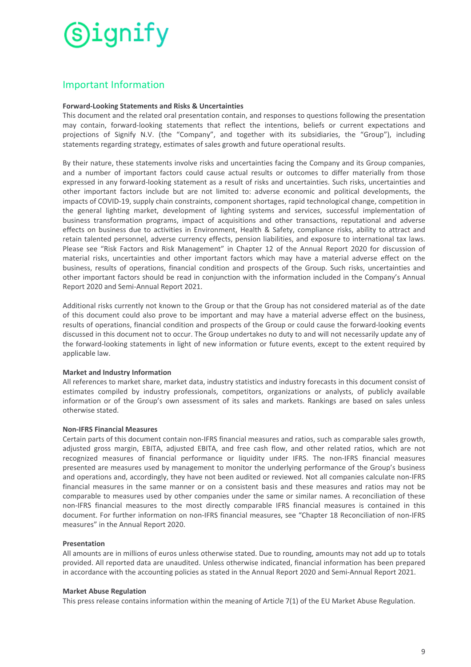# Important Information

### **Forward-Looking Statements and Risks & Uncertainties**

This document and the related oral presentation contain, and responses to questions following the presentation may contain, forward-looking statements that reflect the intentions, beliefs or current expectations and projections of Signify N.V. (the "Company", and together with its subsidiaries, the "Group"), including statements regarding strategy, estimates of sales growth and future operational results.

By their nature, these statements involve risks and uncertainties facing the Company and its Group companies, and a number of important factors could cause actual results or outcomes to differ materially from those expressed in any forward-looking statement as a result of risks and uncertainties. Such risks, uncertainties and other important factors include but are not limited to: adverse economic and political developments, the impacts of COVID-19, supply chain constraints, component shortages, rapid technological change, competition in the general lighting market, development of lighting systems and services, successful implementation of business transformation programs, impact of acquisitions and other transactions, reputational and adverse effects on business due to activities in Environment, Health & Safety, compliance risks, ability to attract and retain talented personnel, adverse currency effects, pension liabilities, and exposure to international tax laws. Please see "Risk Factors and Risk Management" in Chapter 12 of the Annual Report 2020 for discussion of material risks, uncertainties and other important factors which may have a material adverse effect on the business, results of operations, financial condition and prospects of the Group. Such risks, uncertainties and other important factors should be read in conjunction with the information included in the Company's Annual Report 2020 and Semi-Annual Report 2021.

Additional risks currently not known to the Group or that the Group has not considered material as of the date of this document could also prove to be important and may have a material adverse effect on the business, results of operations, financial condition and prospects of the Group or could cause the forward-looking events discussed in this document not to occur. The Group undertakes no duty to and will not necessarily update any of the forward-looking statements in light of new information or future events, except to the extent required by applicable law.

### **Market and Industry Information**

All references to market share, market data, industry statistics and industry forecasts in this document consist of estimates compiled by industry professionals, competitors, organizations or analysts, of publicly available information or of the Group's own assessment of its sales and markets. Rankings are based on sales unless otherwise stated.

### **Non-IFRS Financial Measures**

Certain parts of this document contain non-IFRS financial measures and ratios, such as comparable sales growth, adjusted gross margin, EBITA, adjusted EBITA, and free cash flow, and other related ratios, which are not recognized measures of financial performance or liquidity under IFRS. The non-IFRS financial measures presented are measures used by management to monitor the underlying performance of the Group's business and operations and, accordingly, they have not been audited or reviewed. Not all companies calculate non-IFRS financial measures in the same manner or on a consistent basis and these measures and ratios may not be comparable to measures used by other companies under the same or similar names. A reconciliation of these non-IFRS financial measures to the most directly comparable IFRS financial measures is contained in this document. For further information on non-IFRS financial measures, see "Chapter 18 Reconciliation of non-IFRS measures" in the Annual Report 2020.

### **Presentation**

All amounts are in millions of euros unless otherwise stated. Due to rounding, amounts may not add up to totals provided. All reported data are unaudited. Unless otherwise indicated, financial information has been prepared in accordance with the accounting policies as stated in the Annual Report 2020 and Semi-Annual Report 2021.

### **Market Abuse Regulation**

This press release contains information within the meaning of Article  $7(1)$  of the EU Market Abuse Regulation.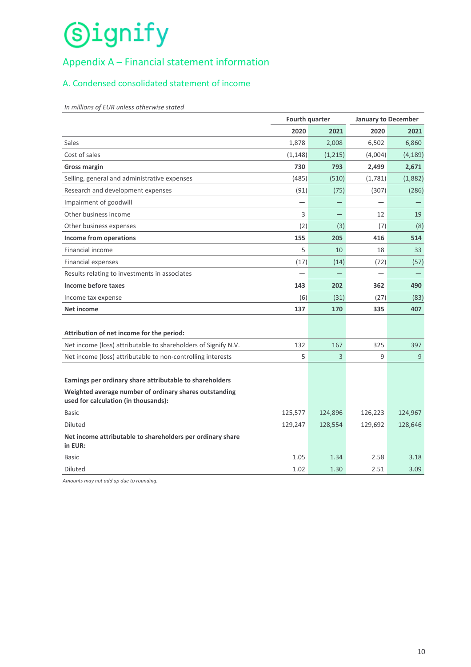Appendix  $A$  – Financial statement information

## A. Condensed consolidated statement of income

*In millions of EUR unless otherwise stated*

|                                                                                                | Fourth quarter | <b>January to December</b> |         |          |  |
|------------------------------------------------------------------------------------------------|----------------|----------------------------|---------|----------|--|
|                                                                                                | 2020           | 2021                       | 2020    | 2021     |  |
| Sales                                                                                          | 1,878          | 2,008                      | 6,502   | 6,860    |  |
| Cost of sales                                                                                  | (1, 148)       | (1,215)                    | (4,004) | (4, 189) |  |
| <b>Gross margin</b>                                                                            | 730            | 793                        | 2,499   | 2,671    |  |
| Selling, general and administrative expenses                                                   | (485)          | (510)                      | (1,781) | (1,882)  |  |
| Research and development expenses                                                              | (91)           | (75)                       | (307)   | (286)    |  |
| Impairment of goodwill                                                                         |                |                            |         |          |  |
| Other business income                                                                          | 3              |                            | 12      | 19       |  |
| Other business expenses                                                                        | (2)            | (3)                        | (7)     | (8)      |  |
| Income from operations                                                                         | 155            | 205                        | 416     | 514      |  |
| Financial income                                                                               | 5              | 10                         | 18      | 33       |  |
| Financial expenses                                                                             | (17)           | (14)                       | (72)    | (57)     |  |
| Results relating to investments in associates                                                  |                |                            |         |          |  |
| Income before taxes                                                                            | 143            | 202                        | 362     | 490      |  |
| Income tax expense                                                                             | (6)            | (31)                       | (27)    | (83)     |  |
| <b>Net income</b>                                                                              | 137            | 170                        | 335     | 407      |  |
|                                                                                                |                |                            |         |          |  |
| Attribution of net income for the period:                                                      |                |                            |         |          |  |
| Net income (loss) attributable to shareholders of Signify N.V.                                 | 132            | 167                        | 325     | 397      |  |
| Net income (loss) attributable to non-controlling interests                                    | 5              | 3                          | 9       | 9        |  |
|                                                                                                |                |                            |         |          |  |
| Earnings per ordinary share attributable to shareholders                                       |                |                            |         |          |  |
| Weighted average number of ordinary shares outstanding<br>used for calculation (in thousands): |                |                            |         |          |  |
| <b>Basic</b>                                                                                   | 125,577        | 124,896                    | 126,223 | 124,967  |  |
| <b>Diluted</b>                                                                                 | 129,247        | 128,554                    | 129,692 | 128,646  |  |
| Net income attributable to shareholders per ordinary share<br>in EUR:                          |                |                            |         |          |  |
| <b>Basic</b>                                                                                   | 1.05           | 1.34                       | 2.58    | 3.18     |  |
| <b>Diluted</b>                                                                                 | 1.02           | 1.30                       | 2.51    | 3.09     |  |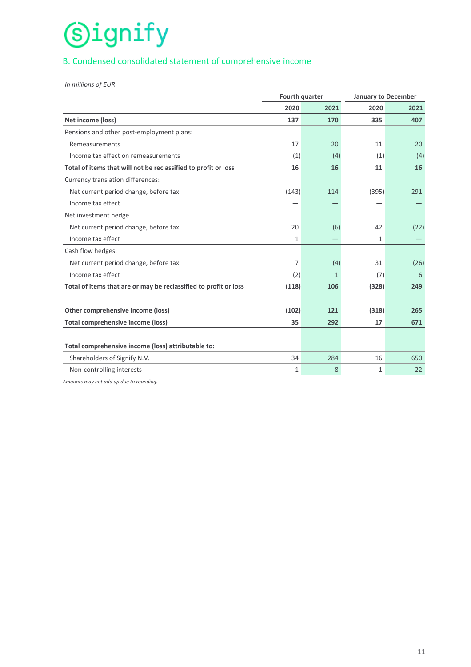# B. Condensed consolidated statement of comprehensive income

*In millions of EUR*

|                                                                  | Fourth quarter |              | <b>January to December</b> |      |  |
|------------------------------------------------------------------|----------------|--------------|----------------------------|------|--|
|                                                                  | 2020           | 2021         | 2020                       | 2021 |  |
| Net income (loss)                                                | 137            | 170          | 335                        | 407  |  |
| Pensions and other post-employment plans:                        |                |              |                            |      |  |
| Remeasurements                                                   | 17             | 20           | 11                         | 20   |  |
| Income tax effect on remeasurements                              | (1)            | (4)          | (1)                        | (4)  |  |
| Total of items that will not be reclassified to profit or loss   | 16             | 16           | 11                         | 16   |  |
| Currency translation differences:                                |                |              |                            |      |  |
| Net current period change, before tax                            | (143)          | 114          | (395)                      | 291  |  |
| Income tax effect                                                |                |              |                            |      |  |
| Net investment hedge                                             |                |              |                            |      |  |
| Net current period change, before tax                            | 20             | (6)          | 42                         | (22) |  |
| Income tax effect                                                | 1              |              | 1                          |      |  |
| Cash flow hedges:                                                |                |              |                            |      |  |
| Net current period change, before tax                            | 7              | (4)          | 31                         | (26) |  |
| Income tax effect                                                | (2)            | $\mathbf{1}$ | (7)                        | 6    |  |
| Total of items that are or may be reclassified to profit or loss | (118)          | 106          | (328)                      | 249  |  |
|                                                                  |                |              |                            |      |  |
| Other comprehensive income (loss)                                | (102)          | 121          | (318)                      | 265  |  |
| Total comprehensive income (loss)                                | 35             | 292          | 17                         | 671  |  |
|                                                                  |                |              |                            |      |  |
| Total comprehensive income (loss) attributable to:               |                |              |                            |      |  |
| Shareholders of Signify N.V.                                     | 34             | 284          | 16                         | 650  |  |
| Non-controlling interests                                        | 1              | 8            | 1                          | 22   |  |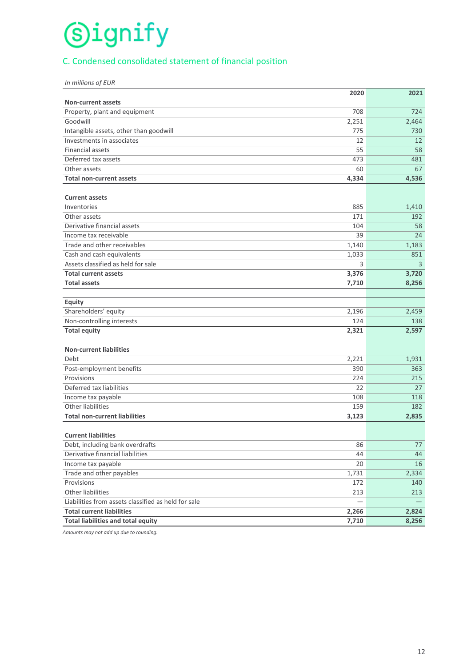# C. Condensed consolidated statement of financial position

*In millions of EUR* 

|                                                     | 2020  | 2021  |
|-----------------------------------------------------|-------|-------|
| <b>Non-current assets</b>                           |       |       |
| Property, plant and equipment                       | 708   | 724   |
| Goodwill                                            | 2,251 | 2,464 |
| Intangible assets, other than goodwill              | 775   | 730   |
| Investments in associates                           | 12    | 12    |
| <b>Financial assets</b>                             | 55    | 58    |
| Deferred tax assets                                 | 473   | 481   |
| Other assets                                        | 60    | 67    |
| <b>Total non-current assets</b>                     | 4,334 | 4,536 |
|                                                     |       |       |
| <b>Current assets</b>                               |       |       |
| Inventories                                         | 885   | 1,410 |
| Other assets                                        | 171   | 192   |
| Derivative financial assets                         | 104   | 58    |
| Income tax receivable                               | 39    | 24    |
| Trade and other receivables                         | 1,140 | 1,183 |
| Cash and cash equivalents                           | 1,033 | 851   |
| Assets classified as held for sale                  | 3     | 3     |
| <b>Total current assets</b>                         | 3,376 | 3,720 |
| <b>Total assets</b>                                 | 7,710 | 8,256 |
|                                                     |       |       |
| <b>Equity</b>                                       |       |       |
| Shareholders' equity                                | 2,196 | 2,459 |
| Non-controlling interests                           | 124   | 138   |
| <b>Total equity</b>                                 | 2,321 | 2,597 |
|                                                     |       |       |
| <b>Non-current liabilities</b>                      |       |       |
| Debt                                                | 2,221 | 1,931 |
| Post-employment benefits                            | 390   | 363   |
| Provisions                                          | 224   | 215   |
| Deferred tax liabilities                            | 22    | 27    |
| Income tax payable                                  | 108   | 118   |
| <b>Other liabilities</b>                            | 159   | 182   |
| <b>Total non-current liabilities</b>                | 3,123 | 2,835 |
|                                                     |       |       |
| <b>Current liabilities</b>                          |       |       |
| Debt, including bank overdrafts                     | 86    | 77    |
| Derivative financial liabilities                    | 44    | 44    |
| Income tax payable                                  | 20    | 16    |
| Trade and other payables                            | 1,731 | 2,334 |
| Provisions                                          | 172   | 140   |
| Other liabilities                                   | 213   | 213   |
| Liabilities from assets classified as held for sale |       |       |
| <b>Total current liabilities</b>                    | 2,266 | 2,824 |
| <b>Total liabilities and total equity</b>           | 7,710 | 8,256 |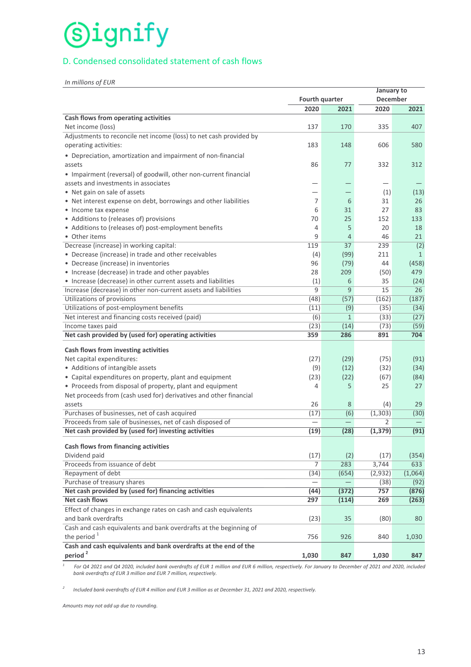## D. Condensed consolidated statement of cash flows

*In millions of EUR*

|                                                                    | January to     |              |             |                 |  |
|--------------------------------------------------------------------|----------------|--------------|-------------|-----------------|--|
|                                                                    | Fourth quarter |              |             | <b>December</b> |  |
|                                                                    | 2020           | 2021         | 2020        | 2021            |  |
| Cash flows from operating activities                               |                |              |             |                 |  |
| Net income (loss)                                                  | 137            | 170          | 335         | 407             |  |
| Adjustments to reconcile net income (loss) to net cash provided by |                |              |             |                 |  |
| operating activities:                                              | 183            | 148          | 606         | 580             |  |
| • Depreciation, amortization and impairment of non-financial       |                |              |             |                 |  |
| assets                                                             | 86             | 77           | 332         | 312             |  |
| • Impairment (reversal) of goodwill, other non-current financial   |                |              |             |                 |  |
| assets and investments in associates                               |                |              |             | -               |  |
| • Net gain on sale of assets                                       |                |              | (1)         | (13)            |  |
| • Net interest expense on debt, borrowings and other liabilities   | 7              | 6            | 31          | 26              |  |
| • Income tax expense                                               | 6              | 31           | 27          | 83              |  |
| • Additions to (releases of) provisions                            | 70             | 25           | 152         | 133             |  |
| • Additions to (releases of) post-employment benefits              | 4              | 5            | 20          | 18              |  |
| • Other items                                                      | 9              | 4            | 46          | 21              |  |
| Decrease (increase) in working capital:                            | 119            | 37           | 239         | (2)             |  |
| • Decrease (increase) in trade and other receivables               | (4)            | (99)         | 211         | $\mathbf{1}$    |  |
| • Decrease (increase) in inventories                               | 96             | (79)         | 44          | (458)           |  |
| • Increase (decrease) in trade and other payables                  | 28             | 209          | (50)        | 479             |  |
| • Increase (decrease) in other current assets and liabilities      | (1)            | 6            | 35          | (24)            |  |
| Increase (decrease) in other non-current assets and liabilities    | 9              | 9            | 15          | 26              |  |
| Utilizations of provisions                                         | (48)           | (57)         | (162)       | (187)           |  |
| Utilizations of post-employment benefits                           | (11)           | (9)          | (35)        |                 |  |
| Net interest and financing costs received (paid)                   | (6)            | $\mathbf{1}$ |             | (34)            |  |
| Income taxes paid                                                  | (23)           | (14)         | (33)        | (27)            |  |
| Net cash provided by (used for) operating activities               | 359            | 286          | (73)<br>891 | (59)<br>704     |  |
|                                                                    |                |              |             |                 |  |
| Cash flows from investing activities                               |                |              |             |                 |  |
| Net capital expenditures:                                          | (27)           | (29)         | (75)        | (91)            |  |
| • Additions of intangible assets                                   | (9)            | (12)         | (32)        | (34)            |  |
| • Capital expenditures on property, plant and equipment            | (23)           | (22)         | (67)        | (84)            |  |
| • Proceeds from disposal of property, plant and equipment          | 4              | 5            | 25          | 27              |  |
| Net proceeds from (cash used for) derivatives and other financial  |                |              |             |                 |  |
| assets                                                             | 26             | 8            | (4)         | 29              |  |
| Purchases of businesses, net of cash acquired                      | (17)           | (6)          | (1, 303)    | (30)            |  |
| Proceeds from sale of businesses, net of cash disposed of          |                |              | 2           |                 |  |
| Net cash provided by (used for) investing activities               | (19)           | (28)         | (1, 379)    | (91)            |  |
|                                                                    |                |              |             |                 |  |
| Cash flows from financing activities                               |                |              |             |                 |  |
| Dividend paid                                                      | (17)           | (2)          | (17)        | (354)           |  |
| Proceeds from issuance of debt                                     | 7              | 283          | 3,744       | 633             |  |
| Repayment of debt                                                  | (34)           | (654)        | (2,932)     | (1,064)         |  |
| Purchase of treasury shares                                        | —              |              | (38)        | (92)            |  |
| Net cash provided by (used for) financing activities               | (44)           | (372)        | 757         | (876)           |  |
| <b>Net cash flows</b>                                              | 297            | (114)        | 269         | (263)           |  |
| Effect of changes in exchange rates on cash and cash equivalents   |                |              |             |                 |  |
| and bank overdrafts                                                | (23)           | 35           | (80)        | 80              |  |
| Cash and cash equivalents and bank overdrafts at the beginning of  |                |              |             |                 |  |
| the period $1$                                                     | 756            | 926          | 840         | 1,030           |  |
| Cash and cash equivalents and bank overdrafts at the end of the    |                |              |             |                 |  |
| period <sup>2</sup>                                                | 1,030          | 847          | 1,030       | 847             |  |

*1 For Q4 2021 and Q4 2020, included bank overdrafts of EUR 1 million and EUR 6 million, respectively. For January to December of 2021 and 2020, included bank overdrafts of EUR 3 million and EUR 7 million, respectively.*

*2 Included bank overdrafts of EUR 4 million and EUR 3 million as at December 31, 2021 and 2020, respectively.*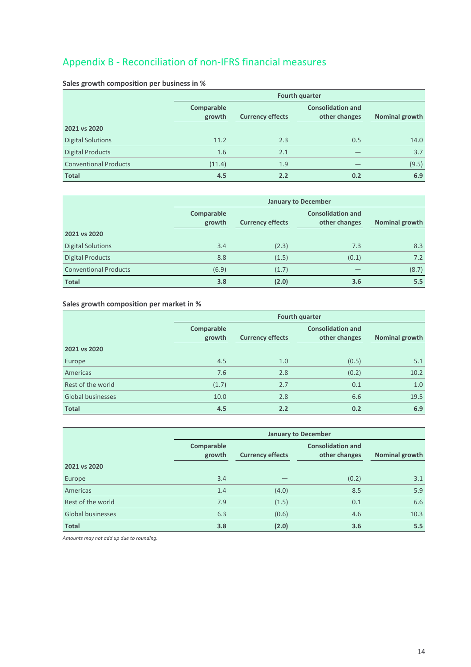# Appendix B - Reconciliation of non-IFRS financial measures

### Sales growth composition per business in %

|                              | <b>Fourth quarter</b> |                         |                |       |  |  |  |
|------------------------------|-----------------------|-------------------------|----------------|-------|--|--|--|
|                              | Comparable<br>growth  | <b>Currency effects</b> | Nominal growth |       |  |  |  |
| 2021 vs 2020                 |                       |                         |                |       |  |  |  |
| <b>Digital Solutions</b>     | 11.2                  | 2.3                     | 0.5            | 14.0  |  |  |  |
| <b>Digital Products</b>      | 1.6                   | 2.1                     |                | 3.7   |  |  |  |
| <b>Conventional Products</b> | (11.4)                | 1.9                     |                | (9.5) |  |  |  |
| <b>Total</b>                 | 4.5                   | 2.2                     | 0.2            | 6.9   |  |  |  |

|                              | <b>January to December</b> |                         |                |       |  |  |  |
|------------------------------|----------------------------|-------------------------|----------------|-------|--|--|--|
|                              | Comparable<br>growth       | <b>Currency effects</b> | Nominal growth |       |  |  |  |
| 2021 vs 2020                 |                            |                         |                |       |  |  |  |
| <b>Digital Solutions</b>     | 3.4                        | (2.3)                   | 7.3            | 8.3   |  |  |  |
| <b>Digital Products</b>      | 8.8                        | (1.5)                   | (0.1)          | 7.2   |  |  |  |
| <b>Conventional Products</b> | (6.9)                      | (1.7)                   |                | (8.7) |  |  |  |
| <b>Total</b>                 | 3.8                        | (2.0)                   | 3.6            | 5.5   |  |  |  |

Sales growth composition per market in %

|                          | Fourth quarter       |                         |                |      |  |  |  |
|--------------------------|----------------------|-------------------------|----------------|------|--|--|--|
|                          | Comparable<br>growth | <b>Currency effects</b> | Nominal growth |      |  |  |  |
| 2021 vs 2020             |                      |                         |                |      |  |  |  |
| Europe                   | 4.5                  | 1.0                     | (0.5)          | 5.1  |  |  |  |
| Americas                 | 7.6                  | 2.8                     | (0.2)          | 10.2 |  |  |  |
| Rest of the world        | (1.7)                | 2.7                     | 0.1            | 1.0  |  |  |  |
| <b>Global businesses</b> | 10.0                 | 2.8                     | 6.6            | 19.5 |  |  |  |
| <b>Total</b>             | 4.5                  | 2.2                     | 0.2            | 6.9  |  |  |  |

|                          | <b>January to December</b>  |                         |                       |      |  |  |  |
|--------------------------|-----------------------------|-------------------------|-----------------------|------|--|--|--|
|                          | <b>Comparable</b><br>growth | <b>Currency effects</b> | <b>Nominal growth</b> |      |  |  |  |
| 2021 vs 2020             |                             |                         |                       |      |  |  |  |
| Europe                   | 3.4                         |                         | (0.2)                 | 3.1  |  |  |  |
| Americas                 | 1.4                         | (4.0)                   | 8.5                   | 5.9  |  |  |  |
| Rest of the world        | 7.9                         | (1.5)                   | 0.1                   | 6.6  |  |  |  |
| <b>Global businesses</b> | 6.3                         | (0.6)                   | 4.6                   | 10.3 |  |  |  |
| <b>Total</b>             | 3.8                         | (2.0)                   | 3.6                   | 5.5  |  |  |  |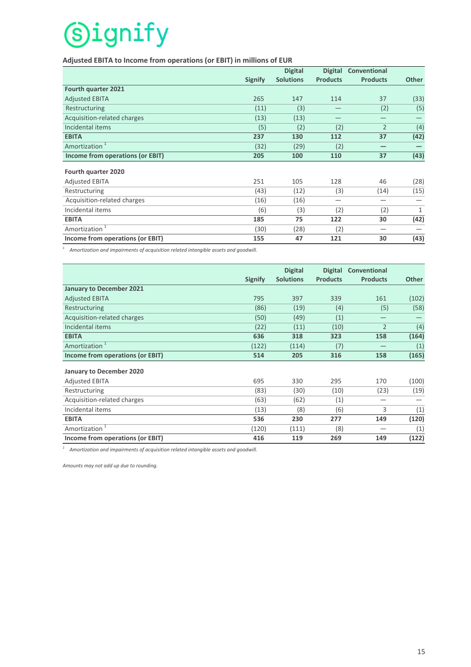### Adjusted EBITA to Income from operations (or EBIT) in millions of EUR

|                                         |                | <b>Digital</b>   | <b>Digital</b>  | Conventional    |              |
|-----------------------------------------|----------------|------------------|-----------------|-----------------|--------------|
|                                         | <b>Signify</b> | <b>Solutions</b> | <b>Products</b> | <b>Products</b> | <b>Other</b> |
| Fourth quarter 2021                     |                |                  |                 |                 |              |
| <b>Adjusted EBITA</b>                   | 265            | 147              | 114             | 37              | (33)         |
| Restructuring                           | (11)           | (3)              |                 | (2)             | (5)          |
| Acquisition-related charges             | (13)           | (13)             |                 |                 |              |
| Incidental items                        | (5)            | (2)              | (2)             | $\overline{2}$  | (4)          |
| <b>EBITA</b>                            | 237            | 130              | 112             | 37              | (42)         |
| Amortization <sup>1</sup>               | (32)           | (29)             | (2)             |                 |              |
| <b>Income from operations (or EBIT)</b> | 205            | 100              | 110             | 37              | (43)         |
| Fourth quarter 2020                     |                |                  |                 |                 |              |
| <b>Adjusted EBITA</b>                   | 251            | 105              | 128             | 46              | (28)         |
| Restructuring                           | (43)           | (12)             | (3)             | (14)            | (15)         |
| Acquisition-related charges             | (16)           | (16)             |                 |                 |              |
| Incidental items                        | (6)            | (3)              | (2)             | (2)             | $\mathbf{1}$ |
| <b>EBITA</b>                            | 185            | 75               | 122             | 30              | (42)         |
| Amortization <sup>1</sup>               | (30)           | (28)             | (2)             | –               |              |
| Income from operations (or EBIT)        | 155            | 47               | 121             | 30              | (43)         |

<sup>1</sup> Amortization and impairments of acquisition related intangible assets and goodwill.

|                                  |                | <b>Digital</b>   | <b>Digital</b>  | Conventional    |              |
|----------------------------------|----------------|------------------|-----------------|-----------------|--------------|
|                                  | <b>Signify</b> | <b>Solutions</b> | <b>Products</b> | <b>Products</b> | <b>Other</b> |
| <b>January to December 2021</b>  |                |                  |                 |                 |              |
| <b>Adjusted EBITA</b>            | 795            | 397              | 339             | 161             | (102)        |
| Restructuring                    | (86)           | (19)             | (4)             | (5)             | (58)         |
| Acquisition-related charges      | (50)           | (49)             | (1)             |                 |              |
| Incidental items                 | (22)           | (11)             | (10)            | $\overline{2}$  | (4)          |
| <b>EBITA</b>                     | 636            | 318              | 323             | 158             | (164)        |
| Amortization <sup>1</sup>        | (122)          | (114)            | (7)             |                 | (1)          |
| Income from operations (or EBIT) | 514            | 205              | 316             | 158             | (165)        |
| <b>January to December 2020</b>  |                |                  |                 |                 |              |
| <b>Adjusted EBITA</b>            | 695            | 330              | 295             | 170             | (100)        |
| Restructuring                    | (83)           | (30)             | (10)            | (23)            | (19)         |
| Acquisition-related charges      | (63)           | (62)             | (1)             | -               |              |
| Incidental items                 | (13)           | (8)              | (6)             | 3               | (1)          |
| <b>EBITA</b>                     | 536            | 230              | 277             | 149             | (120)        |
| Amortization <sup>1</sup>        | (120)          | (111)            | (8)             | -               | (1)          |
| Income from operations (or EBIT) | 416            | 119              | 269             | 149             | (122)        |

<sup>1</sup> Amortization and impairments of acquisition related intangible assets and goodwill.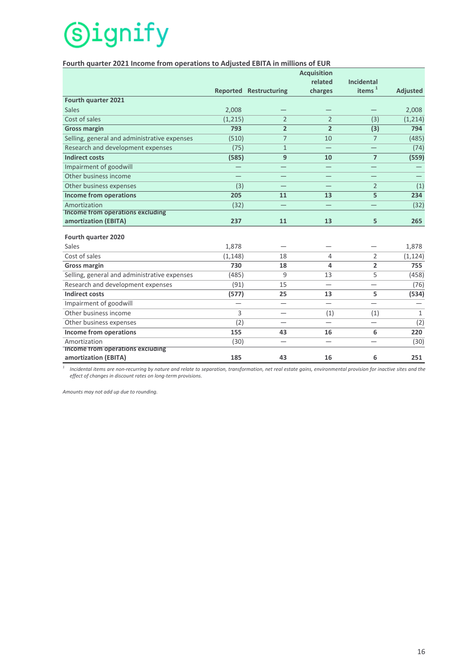### Fourth quarter 2021 Income from operations to Adjusted EBITA in millions of EUR

|                                              |          |                               | <b>Acquisition</b>       |                    |                 |
|----------------------------------------------|----------|-------------------------------|--------------------------|--------------------|-----------------|
|                                              |          |                               | related                  | <b>Incidental</b>  |                 |
|                                              |          | <b>Reported Restructuring</b> | charges                  | items <sup>1</sup> | <b>Adjusted</b> |
| Fourth quarter 2021                          |          |                               |                          |                    |                 |
| <b>Sales</b>                                 | 2,008    |                               |                          |                    | 2,008           |
| Cost of sales                                | (1, 215) | $\overline{2}$                | $\overline{2}$           | (3)                | (1, 214)        |
| <b>Gross margin</b>                          | 793      | $\overline{2}$                | $\overline{2}$           | (3)                | 794             |
| Selling, general and administrative expenses | (510)    | 7                             | 10                       | $\overline{7}$     | (485)           |
| Research and development expenses            | (75)     | $\mathbf{1}$                  |                          |                    | (74)            |
| <b>Indirect costs</b>                        | (585)    | 9                             | 10                       | $\overline{7}$     | (559)           |
| Impairment of goodwill                       |          |                               |                          |                    |                 |
| Other business income                        |          |                               |                          |                    |                 |
| Other business expenses                      | (3)      |                               |                          | $\overline{2}$     | (1)             |
| <b>Income from operations</b>                | 205      | 11                            | 13                       | 5                  | 234             |
| Amortization                                 | (32)     |                               |                          |                    | (32)            |
| Income from operations excluding             |          |                               |                          |                    |                 |
| amortization (EBITA)                         | 237      | 11                            | 13                       | 5                  | 265             |
| Fourth quarter 2020                          |          |                               |                          |                    |                 |
| Sales                                        | 1,878    |                               |                          |                    | 1,878           |
| Cost of sales                                | (1, 148) | 18                            | 4                        | 2                  | (1, 124)        |
| <b>Gross margin</b>                          | 730      | 18                            | 4                        | $\overline{2}$     | 755             |
| Selling, general and administrative expenses | (485)    | 9                             | 13                       | 5                  | (458)           |
| Research and development expenses            | (91)     | 15                            |                          |                    | (76)            |
| <b>Indirect costs</b>                        | (577)    | 25                            | 13                       | 5                  | (534)           |
| Impairment of goodwill                       |          |                               | $\overline{\phantom{0}}$ |                    |                 |
| Other business income                        | 3        |                               | (1)                      | (1)                | $\mathbf{1}$    |
| Other business expenses                      | (2)      |                               | $\overline{\phantom{0}}$ |                    | (2)             |
| Income from operations                       | 155      | 43                            | 16                       | 6                  | 220             |
| Amortization                                 | (30)     |                               |                          |                    | (30)            |
| Income from operations excluding             |          |                               |                          |                    |                 |
| amortization (EBITA)                         | 185      | 43                            | 16                       | 6                  | 251             |

 $^{\rm 1}$  Incidental items are non-recurring by nature and relate to separation, transformation, net real estate gains, environmental provision for inactive sites and the  $\,$ *effect of changes in discount rates on long-term provisions.*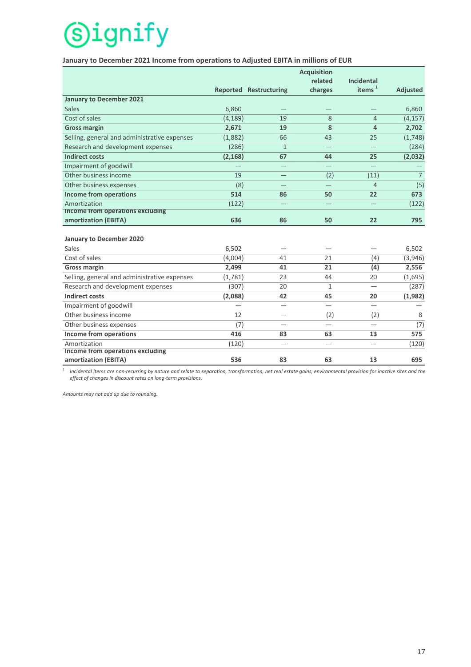### January to December 2021 Income from operations to Adjusted EBITA in millions of EUR

|                                              |          |                               | <b>Acquisition</b>       |                                         |                 |
|----------------------------------------------|----------|-------------------------------|--------------------------|-----------------------------------------|-----------------|
|                                              |          | <b>Reported Restructuring</b> | related<br>charges       | <b>Incidental</b><br>items <sup>1</sup> | <b>Adjusted</b> |
| <b>January to December 2021</b>              |          |                               |                          |                                         |                 |
| <b>Sales</b>                                 | 6,860    |                               |                          |                                         | 6,860           |
| Cost of sales                                | (4, 189) | 19                            | 8                        | 4                                       | (4, 157)        |
| <b>Gross margin</b>                          | 2,671    | 19                            | 8                        | 4                                       | 2,702           |
| Selling, general and administrative expenses | (1,882)  | 66                            | 43                       | 25                                      | (1,748)         |
| Research and development expenses            | (286)    | $\mathbf{1}$                  | —                        |                                         | (284)           |
| <b>Indirect costs</b>                        | (2, 168) | 67                            | 44                       | 25                                      | (2,032)         |
| Impairment of goodwill                       |          |                               |                          |                                         |                 |
| Other business income                        | 19       |                               | (2)                      | (11)                                    | $7\overline{ }$ |
| Other business expenses                      | (8)      |                               |                          | 4                                       | (5)             |
| <b>Income from operations</b>                | 514      | 86                            | 50                       | 22                                      | 673             |
| Amortization                                 | (122)    | -                             |                          |                                         | (122)           |
| <b>Income trom operations excluding</b>      |          |                               |                          |                                         |                 |
| amortization (EBITA)                         | 636      | 86                            | 50                       | 22                                      | 795             |
| <b>January to December 2020</b>              |          |                               |                          |                                         |                 |
| Sales                                        | 6,502    |                               |                          |                                         | 6,502           |
| Cost of sales                                | (4,004)  | 41                            | 21                       | (4)                                     | (3,946)         |
| <b>Gross margin</b>                          | 2,499    | 41                            | 21                       | (4)                                     | 2,556           |
| Selling, general and administrative expenses | (1,781)  | 23                            | 44                       | 20                                      | (1,695)         |
| Research and development expenses            | (307)    | 20                            | 1                        |                                         | (287)           |
| <b>Indirect costs</b>                        | (2,088)  | 42                            | 45                       | 20                                      | (1,982)         |
| Impairment of goodwill                       |          |                               |                          |                                         |                 |
| Other business income                        | 12       |                               | (2)                      | (2)                                     | 8               |
| Other business expenses                      | (7)      |                               | $\overline{\phantom{0}}$ |                                         | (7)             |
| Income from operations                       | 416      | 83                            | 63                       | 13                                      | 575             |
| Amortization                                 | (120)    |                               |                          | -                                       | (120)           |
| Income from operations excluding             |          |                               |                          |                                         |                 |
| amortization (EBITA)                         | 536      | 83                            | 63                       | 13                                      | 695             |

<sup>1</sup> Incidental items are non-recurring by nature and relate to separation, transformation, net real estate gains, environmental provision for inactive sites and the *effect of changes in discount rates on long-term provisions.*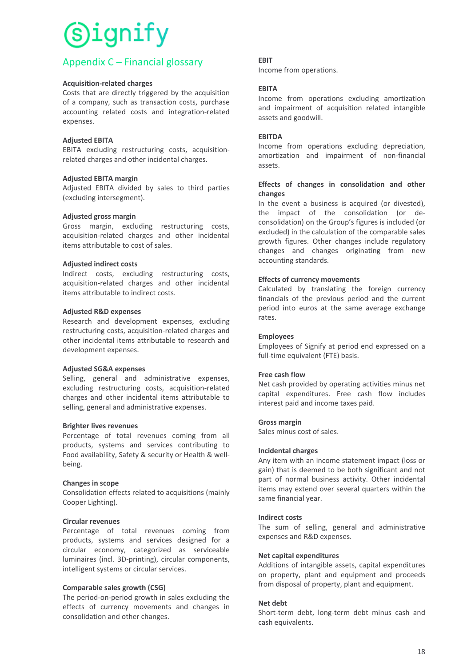# Appendix  $C$  – Financial glossary

### **Acquisition-related charges**

Costs that are directly triggered by the acquisition of a company, such as transaction costs, purchase accounting related costs and integration-related expenses.

### **Adjusted EBITA**

EBITA excluding restructuring costs, acquisitionrelated charges and other incidental charges.

### **Adjusted EBITA margin**

Adjusted EBITA divided by sales to third parties (excluding intersegment).

### **Adjusted gross margin**

Gross margin, excluding restructuring costs, acquisition-related charges and other incidental items attributable to cost of sales.

### **Adjusted indirect costs**

Indirect costs, excluding restructuring costs, acquisition-related charges and other incidental items attributable to indirect costs.

### **Adjusted R&D expenses**

Research and development expenses, excluding restructuring costs, acquisition-related charges and other incidental items attributable to research and development expenses.

### **Adjusted SG&A expenses**

Selling, general and administrative expenses, excluding restructuring costs, acquisition-related charges and other incidental items attributable to selling, general and administrative expenses.

### **Brighter lives revenues**

Percentage of total revenues coming from all products, systems and services contributing to Food availability, Safety & security or Health & wellbeing.

### **Changes** in scope

Consolidation effects related to acquisitions (mainly Cooper Lighting).

### **Circular revenues**

Percentage of total revenues coming from products, systems and services designed for a circular economy, categorized as serviceable luminaires (incl. 3D-printing), circular components, intelligent systems or circular services.

### **Comparable sales growth (CSG)**

The period-on-period growth in sales excluding the effects of currency movements and changes in consolidation and other changes.

### **EBIT**

Income from operations.

### **EBITA**

Income from operations excluding amortization and impairment of acquisition related intangible assets and goodwill.

### **EBITDA**

Income from operations excluding depreciation, amortization and impairment of non-financial assets.

### **Effects** of changes in consolidation and other **changes**

In the event a business is acquired (or divested), the impact of the consolidation (or deconsolidation) on the Group's figures is included (or excluded) in the calculation of the comparable sales growth figures. Other changes include regulatory changes and changes originating from new accounting standards.

### **Effects of currency movements**

Calculated by translating the foreign currency financials of the previous period and the current period into euros at the same average exchange rates.

### **Employees**

Employees of Signify at period end expressed on a full-time equivalent (FTE) basis.

### **Free cash flow**

Net cash provided by operating activities minus net capital expenditures. Free cash flow includes interest paid and income taxes paid.

### **Gross margin**

Sales minus cost of sales.

### **Incidental charges**

Any item with an income statement impact (loss or gain) that is deemed to be both significant and not part of normal business activity. Other incidental items may extend over several quarters within the same financial year.

### **Indirect costs**

The sum of selling, general and administrative expenses and R&D expenses.

### **Net capital expenditures**

Additions of intangible assets, capital expenditures on property, plant and equipment and proceeds from disposal of property, plant and equipment.

### **Net debt**

Short-term debt, long-term debt minus cash and cash equivalents.